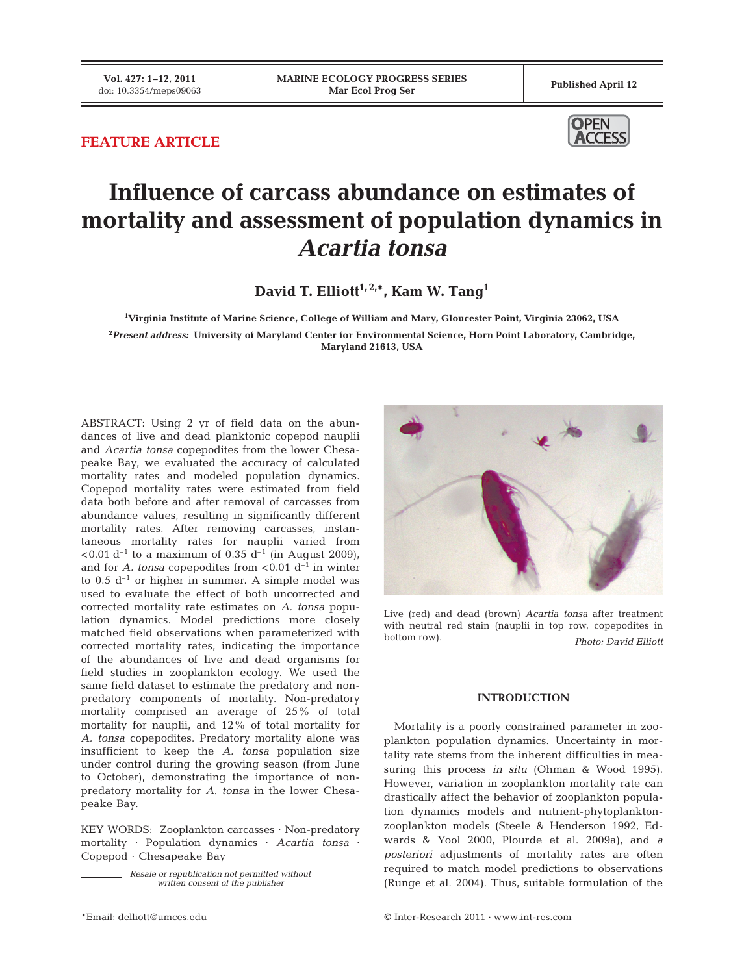## **FEATURE ARTICLE**



# **Influence of carcass abundance on estimates of mortality and assessment of population dynamics in** *Acartia tonsa*

David T. Elliott<sup>1, 2,\*</sup>, Kam W. Tang<sup>1</sup>

**1 Virginia Institute of Marine Science, College of William and Mary, Gloucester Point, Virginia 23062, USA 2** *Present address:* **University of Maryland Center for Environmental Science, Horn Point Laboratory, Cambridge, Maryland 21613, USA**

ABSTRACT: Using 2 yr of field data on the abundances of live and dead planktonic copepod nauplii and *Acartia tonsa* copepodites from the lower Chesapeake Bay, we evaluated the accuracy of calculated mortality rates and modeled population dynamics. Copepod mortality rates were estimated from field data both before and after removal of carcasses from abundance values, resulting in significantly different mortality rates. After removing carcasses, instantaneous mortality rates for nauplii varied from  $< 0.01$  d<sup>-1</sup> to a maximum of 0.35 d<sup>-1</sup> (in August 2009), and for *A. tonsa* copepodites from  $< 0.01 d^{-1}$  in winter to  $0.5 d^{-1}$  or higher in summer. A simple model was used to evaluate the effect of both uncorrected and corrected mortality rate estimates on *A. tonsa* population dynamics. Model predictions more closely matched field observations when parameterized with corrected mortality rates, indicating the importance of the abundances of live and dead organisms for field studies in zooplankton ecology. We used the same field dataset to estimate the predatory and nonpredatory components of mortality. Non-predatory mortality comprised an average of 25% of total mortality for nauplii, and 12% of total mortality for *A. tonsa* copepodites. Predatory mortality alone was insufficient to keep the *A. tonsa* population size under control during the growing season (from June to October), demonstrating the importance of nonpredatory mortality for *A. tonsa* in the lower Chesapeake Bay.

KEY WORDS: Zooplankton carcasses · Non-predatory mortality · Population dynamics · *Acartia tonsa* · Copepod · Chesapeake Bay

> *Resale or republication not permitted without written consent of the publisher*



Live (red) and dead (brown) *Acartia tonsa* after treatment with neutral red stain (nauplii in top row, copepodites in bottom row). *Photo: David Elliott*

#### **INTRODUCTION**

Mortality is a poorly constrained parameter in zooplankton population dynamics. Uncertainty in mortality rate stems from the inherent difficulties in measuring this process *in situ* (Ohman & Wood 1995). However, variation in zooplankton mortality rate can drastically affect the behavior of zooplankton population dynamics models and nutrient-phytoplanktonzooplankton models (Steele & Henderson 1992, Edwards & Yool 2000, Plourde et al. 2009a), and *a posteriori* adjustments of mortality rates are often required to match model predictions to observations (Runge et al. 2004). Thus, suitable formulation of the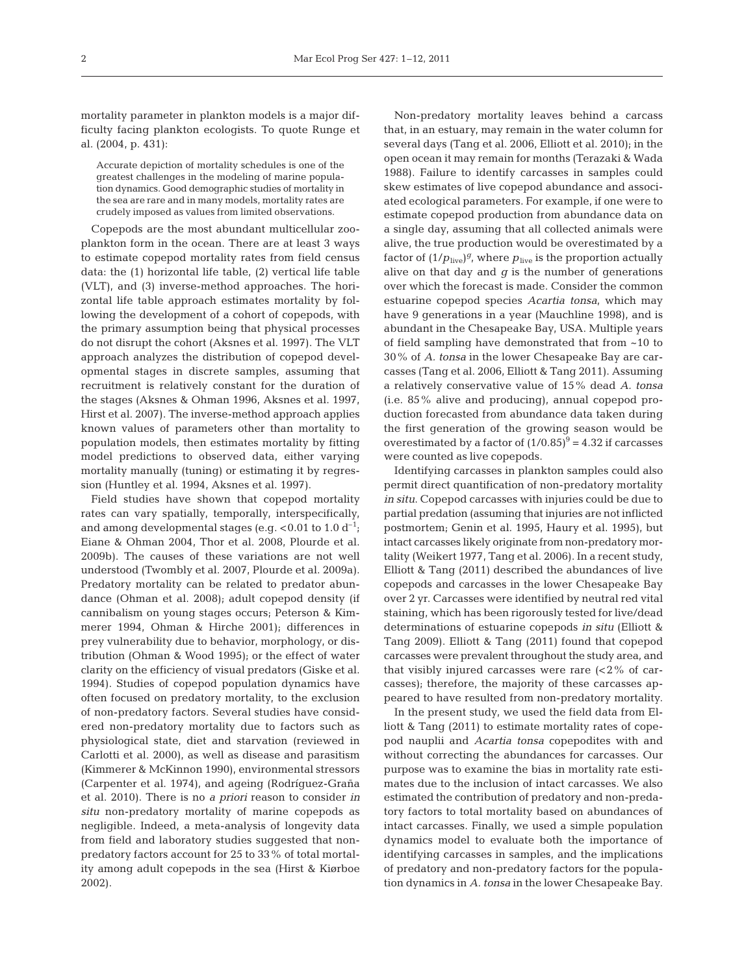mortality parameter in plankton models is a major difficulty facing plankton ecologists. To quote Runge et al. (2004, p. 431):

Accurate depiction of mortality schedules is one of the greatest challenges in the modeling of marine population dynamics. Good demographic studies of mortality in the sea are rare and in many models, mortality rates are crudely imposed as values from limited observations.

Copepods are the most abundant multicellular zooplankton form in the ocean. There are at least 3 ways to estimate copepod mortality rates from field census data: the (1) horizontal life table, (2) vertical life table (VLT), and (3) inverse-method approaches. The horizontal life table approach estimates mortality by following the development of a cohort of copepods, with the primary assumption being that physical processes do not disrupt the cohort (Aksnes et al. 1997). The VLT approach analyzes the distribution of copepod developmental stages in discrete samples, assuming that recruitment is relatively constant for the duration of the stages (Aksnes & Ohman 1996, Aksnes et al. 1997, Hirst et al. 2007). The inverse-method approach applies known values of parameters other than mortality to population models, then estimates mortality by fitting model predictions to observed data, either varying mortality manually (tuning) or estimating it by regression (Huntley et al. 1994, Aksnes et al. 1997).

Field studies have shown that copepod mortality rates can vary spatially, temporally, interspecifically, and among developmental stages (e.g.  $< 0.01$  to 1.0 d<sup>-1</sup>; Eiane & Ohman 2004, Thor et al. 2008, Plourde et al. 2009b). The causes of these variations are not well understood (Twombly et al. 2007, Plourde et al. 2009a). Predatory mortality can be related to predator abundance (Ohman et al. 2008); adult copepod density (if cannibalism on young stages occurs; Peterson & Kimmerer 1994, Ohman & Hirche 2001); differences in prey vulnerability due to behavior, morphology, or distribution (Ohman & Wood 1995); or the effect of water clarity on the efficiency of visual predators (Giske et al. 1994). Studies of copepod population dynamics have often focused on predatory mortality, to the exclusion of non-predatory factors. Several studies have considered non-predatory mortality due to factors such as physiological state, diet and starvation (reviewed in Carlotti et al. 2000), as well as disease and parasitism (Kimmerer & McKinnon 1990), environmental stressors (Carpenter et al. 1974), and ageing (Rodríguez-Graña et al. 2010). There is no *a priori* reason to consider *in situ* non-predatory mortality of marine copepods as negligible. Indeed, a meta-analysis of longevity data from field and laboratory studies suggested that nonpredatory factors account for 25 to 33% of total mortality among adult copepods in the sea (Hirst & Kiørboe 2002).

Non-predatory mortality leaves behind a carcass that, in an estuary, may remain in the water column for several days (Tang et al. 2006, Elliott et al. 2010); in the open ocean it may remain for months (Terazaki & Wada 1988). Failure to identify carcasses in samples could skew estimates of live copepod abundance and associated ecological parameters. For example, if one were to estimate copepod production from abundance data on a single day, assuming that all collected animals were alive, the true production would be overestimated by a factor of  $(1/p_{\text{live}})^g$ , where  $p_{\text{live}}$  is the proportion actually alive on that day and  $g$  is the number of generations over which the forecast is made. Consider the common estuarine copepod species *Acartia tonsa*, which may have 9 generations in a year (Mauchline 1998), and is abundant in the Chesapeake Bay, USA. Multiple years of field sampling have demonstrated that from ~10 to 30% of *A. tonsa* in the lower Chesapeake Bay are carcasses (Tang et al. 2006, Elliott & Tang 2011). Assuming a relatively conservative value of 15% dead *A. tonsa* (i.e. 85% alive and producing), annual copepod production forecasted from abundance data taken during the first generation of the growing season would be overestimated by a factor of  $(1/0.85)^9 = 4.32$  if carcasses were counted as live copepods.

Identifying carcasses in plankton samples could also permit direct quantification of non-predatory mortality *in situ*. Copepod carcasses with injuries could be due to partial predation (assuming that injuries are not inflicted postmortem; Genin et al. 1995, Haury et al. 1995), but intact carcasses likely originate from non-predatory mortality (Weikert 1977, Tang et al. 2006). In a recent study, Elliott & Tang (2011) described the abundances of live copepods and carcasses in the lower Chesapeake Bay over 2 yr. Carcasses were identified by neutral red vital staining, which has been rigorously tested for live/dead determinations of estuarine copepods *in situ* (Elliott & Tang 2009). Elliott & Tang (2011) found that copepod carcasses were prevalent throughout the study area, and that visibly injured carcasses were rare  $(2\%$  of carcasses); therefore, the majority of these carcasses appeared to have resulted from non-predatory mortality.

In the present study, we used the field data from Elliott & Tang (2011) to estimate mortality rates of copepod nauplii and *Acartia tonsa* copepodites with and without correcting the abundances for carcasses. Our purpose was to examine the bias in mortality rate estimates due to the inclusion of intact carcasses. We also estimated the contribution of predatory and non-predatory factors to total mortality based on abundances of intact carcasses. Finally, we used a simple population dynamics model to evaluate both the importance of identifying carcasses in samples, and the implications of predatory and non-predatory factors for the population dynamics in *A. tonsa* in the lower Chesapeake Bay.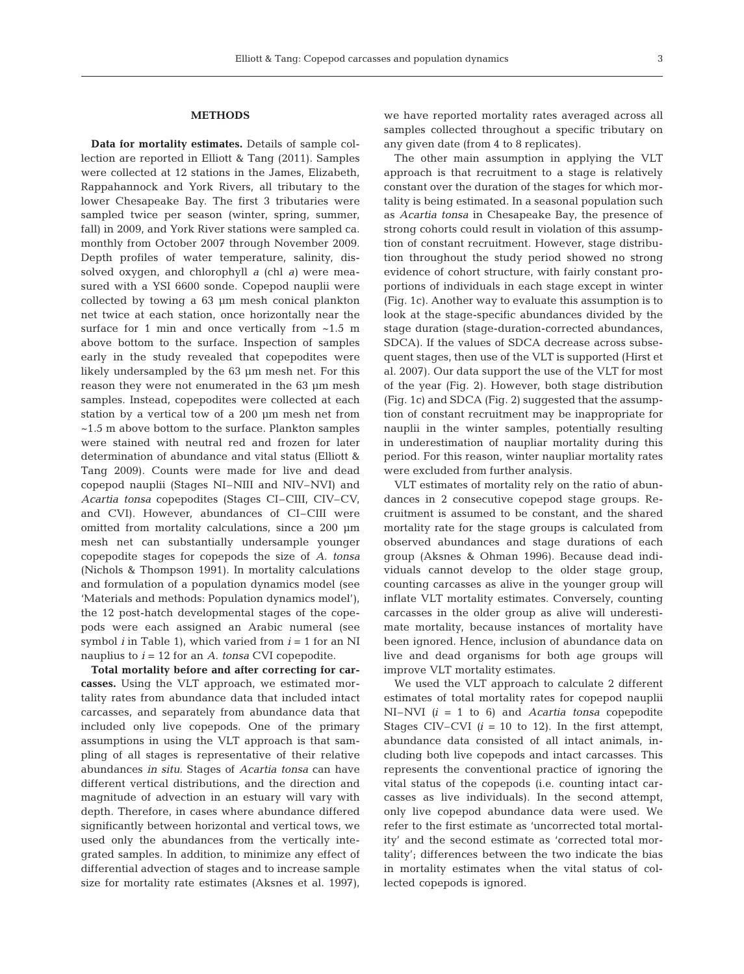#### **METHODS**

**Data for mortality estimates.** Details of sample collection are reported in Elliott & Tang (2011). Samples were collected at 12 stations in the James, Elizabeth, Rappahannock and York Rivers, all tributary to the lower Chesapeake Bay. The first 3 tributaries were sampled twice per season (winter, spring, summer, fall) in 2009, and York River stations were sampled ca. monthly from October 2007 through November 2009. Depth profiles of water temperature, salinity, dissolved oxygen, and chlorophyll *a* (chl *a)* were measured with a YSI 6600 sonde. Copepod nauplii were collected by towing a 63 μm mesh conical plankton net twice at each station, once horizontally near the surface for 1 min and once vertically from  $~1.5~$  m above bottom to the surface. Inspection of samples early in the study revealed that copepodites were likely undersampled by the 63 μm mesh net. For this reason they were not enumerated in the 63 μm mesh samples. Instead, copepodites were collected at each station by a vertical tow of a 200 μm mesh net from ~1.5 m above bottom to the surface. Plankton samples were stained with neutral red and frozen for later determination of abundance and vital status (Elliott & Tang 2009). Counts were made for live and dead copepod nauplii (Stages NI–NIII and NIV–NVI) and *Acartia tonsa* copepodites (Stages CI–CIII, CIV–CV, and CVI). However, abundances of CI–CIII were omitted from mortality calculations, since a 200 μm mesh net can substantially undersample younger copepodite stages for copepods the size of *A. tonsa* (Nichols & Thompson 1991). In mortality calculations and formulation of a population dynamics model (see 'Materials and methods: Population dynamics model'), the 12 post-hatch developmental stages of the copepods were each assigned an Arabic numeral (see symbol *i* in Table 1), which varied from *i* = 1 for an NI nauplius to *i* = 12 for an *A. tonsa* CVI copepodite.

**Total mortality before and after correcting for car**casses. Using the VLT approach, we estimated mortality rates from abundance data that included intact carcasses, and separately from abundance data that included only live copepods. One of the primary assumptions in using the VLT approach is that sampling of all stages is representative of their relative abundances *in situ*. Stages of *Acartia tonsa* can have different vertical distributions, and the direction and magnitude of advection in an estuary will vary with depth. Therefore, in cases where abundance differed significantly between horizontal and vertical tows, we used only the abundances from the vertically integrated samples. In addition, to minimize any effect of differential advection of stages and to increase sample size for mortality rate estimates (Aksnes et al. 1997), we have reported mortality rates averaged across all samples collected throughout a specific tributary on any given date (from 4 to 8 replicates).

The other main assumption in applying the VLT approach is that recruitment to a stage is relatively constant over the duration of the stages for which mortality is being estimated. In a seasonal population such as *Acartia tonsa* in Chesapeake Bay, the presence of strong cohorts could result in violation of this assumption of constant recruitment. However, stage distribution throughout the study period showed no strong evidence of cohort structure, with fairly constant proportions of individuals in each stage except in winter (Fig. 1c). Another way to evaluate this assumption is to look at the stage-specific abundances divided by the stage duration (stage-duration-corrected abundances, SDCA). If the values of SDCA decrease across subsequent stages, then use of the VLT is supported (Hirst et al. 2007). Our data support the use of the VLT for most of the year (Fig. 2). However, both stage distribution (Fig. 1c) and SDCA (Fig. 2) suggested that the assumption of constant recruitment may be inappropriate for nauplii in the winter samples, potentially resulting in underestimation of naupliar mortality during this period. For this reason, winter naupliar mortality rates were excluded from further analysis.

VLT estimates of mortality rely on the ratio of abundances in 2 consecutive copepod stage groups. Recruitment is assumed to be constant, and the shared mortality rate for the stage groups is calculated from observed abundances and stage durations of each group (Aksnes & Ohman 1996). Because dead individuals cannot develop to the older stage group, counting carcasses as alive in the younger group will inflate VLT mortality estimates. Conversely, counting carcasses in the older group as alive will underestimate mortality, because instances of mortality have been ignored. Hence, inclusion of abundance data on live and dead organisms for both age groups will improve VLT mortality estimates.

We used the VLT approach to calculate 2 different estimates of total mortality rates for copepod nauplii NI–NVI *(i* = 1 to 6) and *Acartia tonsa* copepodite Stages CIV–CVI  $(i = 10$  to 12). In the first attempt, abundance data consisted of all intact animals, in cluding both live copepods and intact carcasses. This represents the conventional practice of ignoring the vital status of the copepods (i.e. counting intact carcasses as live individuals). In the second attempt, only live copepod abundance data were used. We refer to the first estimate as 'uncorrected total mortality' and the second estimate as 'corrected total mortality'; differences between the two indicate the bias in mortality estimates when the vital status of collected copepods is ignored.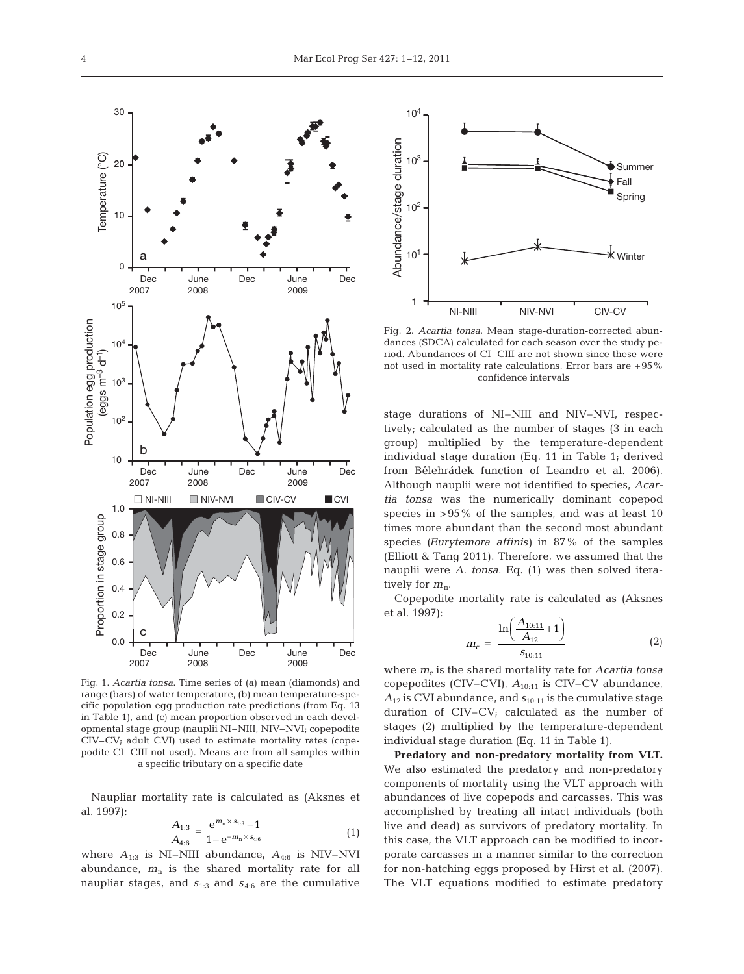

Fig. 1. *Acartia tonsa*. Time series of (a) mean (diamonds) and range (bars) of water temperature, (b) mean temperature-specific population egg production rate predictions (from Eq. 13 in Table 1), and (c) mean proportion observed in each developmental stage group (nauplii NI–NIII, NIV–NVI; copepodite CIV–CV; adult CVI) used to estimate mortality rates (copepodite CI–CIII not used). Means are from all samples within a specific tributary on a specific date

Naupliar mortality rate is calculated as (Aksnes et al. 1997):

$$
\frac{A_{1:3}}{A_{4:6}} = \frac{e^{m_n \times s_{1:3}} - 1}{1 - e^{-m_n \times s_{4:6}}}
$$
(1)

where  $A_{1:3}$  is NI–NIII abundance,  $A_{4:6}$  is NIV–NVI abundance, *m*<sup>n</sup> is the shared mortality rate for all naupliar stages, and  $s_{1:3}$  and  $s_{4:6}$  are the cumulative



Fig. 2. *Acartia tonsa*. Mean stage-duration-corrected abundances (SDCA) calculated for each season over the study period. Abundances of CI–CIII are not shown since these were not used in mortality rate calculations. Error bars are +95% confidence intervals

stage durations of NI–NIII and NIV–NVI, respectively; calculated as the number of stages (3 in each group) multiplied by the temperature-dependent individual stage duration (Eq. 11 in Table 1; derived from Bêlehrádek function of Leandro et al. 2006). Although nauplii were not identified to species, *Acartia tonsa* was the numerically dominant copepod species in >95% of the samples, and was at least 10 times more abundant than the second most abundant species *(Eurytemora affinis)* in 87% of the samples (Elliott & Tang 2011). Therefore, we assumed that the nauplii were *A. tonsa*. Eq. (1) was then solved iteratively for  $m_n$ .

Copepodite mortality rate is calculated as (Aksnes et al. 1997):

$$
m_{\rm c} = \frac{\ln\left(\frac{A_{10:11}}{A_{12}} + 1\right)}{s_{10:11}}\tag{2}
$$

where  $m_c$  is the shared mortality rate for *Acartia tonsa* copepodites (CIV–CVI),  $A_{10:11}$  is CIV–CV abundance, *A*<sup>12</sup> is CVI abundance, and *s*10:11 is the cumulative stage duration of CIV–CV; calculated as the number of stages (2) multiplied by the temperature-dependent individual stage duration (Eq. 11 in Table 1).

**Predatory and non-predatory mortality from VLT.** We also estimated the predatory and non-predatory components of mortality using the VLT approach with abundances of live copepods and carcasses. This was accomplished by treating all intact individuals (both live and dead) as survivors of predatory mortality. In this case, the VLT approach can be modified to incorporate carcasses in a manner similar to the correction for non-hatching eggs proposed by Hirst et al. (2007). The VLT equations modified to estimate predatory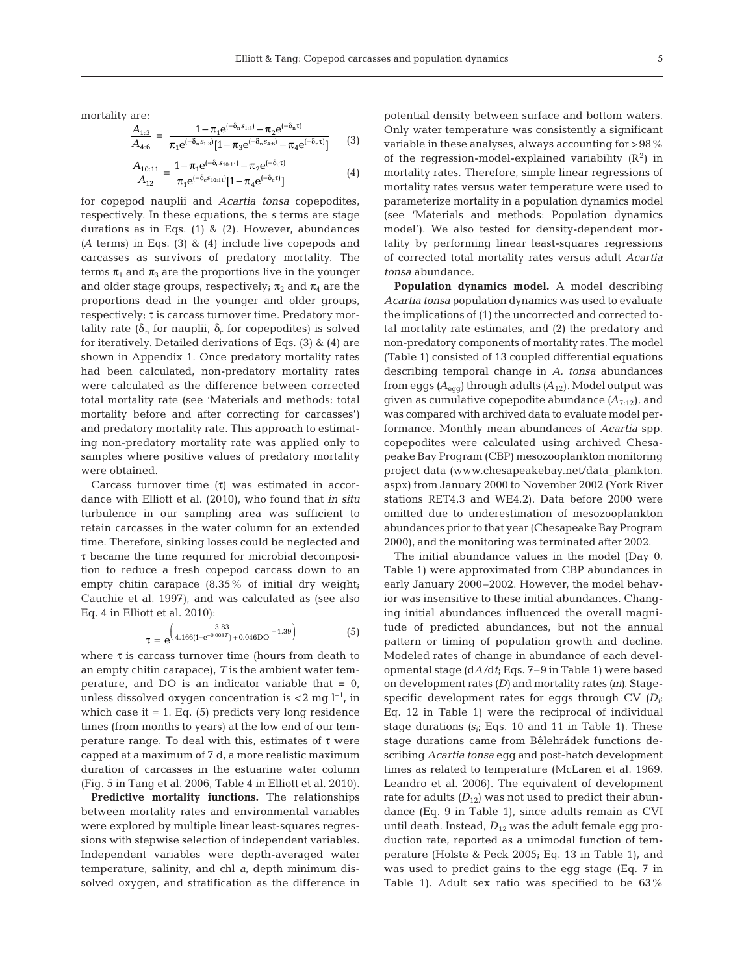mortality are:

$$
\frac{A_{1:3}}{A_{4:6}} = \frac{1 - \pi_1 e^{(-\delta_n s_{1:3})} - \pi_2 e^{(-\delta_n \tau)}}{\pi_1 e^{(-\delta_n s_{1:3})} [1 - \pi_3 e^{(-\delta_n s_{4:6})} - \pi_4 e^{(-\delta_n \tau)}]} \tag{3}
$$

$$
\frac{A_{10:11}}{A_{12}} = \frac{1 - \pi_1 e^{(-\delta_c s_{10:11})} - \pi_2 e^{(-\delta_c \tau)}}{\pi_1 e^{(-\delta_c s_{10:11})} [1 - \pi_4 e^{(-\delta_c \tau)}]} \tag{4}
$$

for copepod nauplii and *Acartia tonsa* copepodites, respectively. In these equations, the *s* terms are stage durations as in Eqs.  $(1)$  &  $(2)$ . However, abundances *(A* terms) in Eqs. (3) & (4) include live copepods and carcasses as survivors of predatory mortality. The terms  $\pi_1$  and  $\pi_3$  are the proportions live in the younger and older stage groups, respectively;  $\pi_2$  and  $\pi_4$  are the proportions dead in the younger and older groups,  $respectively; \tau is carcass turnover time. Predatory mor$ tality rate ( $\delta_n$  for nauplii,  $\delta_c$  for copepodites) is solved for iteratively. Detailed derivations of Eqs. (3) & (4) are shown in Appendix 1. Once predatory mortality rates had been calculated, non-predatory mortality rates were calculated as the difference between corrected total mortality rate (see 'Materials and methods: total mortality before and after correcting for carcasses') and predatory mortality rate. This approach to estimating non-predatory mortality rate was applied only to samples where positive values of predatory mortality were obtained.

Carcass turnover time (τ) was estimated in accordance with Elliott et al. (2010), who found that *in situ* turbulence in our sampling area was sufficient to retain carcasses in the water column for an extended time. Therefore, sinking losses could be neglected and τ became the time required for microbial decomposition to reduce a fresh copepod carcass down to an empty chitin carapace (8.35% of initial dry weight; Cauchie et al. 1997), and was calculated as (see also Eq. 4 in Elliott et al. 2010):

$$
\tau = e^{\left(\frac{3.83}{4.166(1 - e^{-0.008T}) + 0.046DO} - 1.39\right)}
$$
(5)

where  $\tau$  is carcass turnover time (hours from death to an empty chitin carapace), *T* is the ambient water temperature, and DO is an indicator variable that  $= 0$ , unless dissolved oxygen concentration is  $<$ 2 mg l<sup>-1</sup>, in which case it  $= 1$ . Eq. (5) predicts very long residence times (from months to years) at the low end of our temperature range. To deal with this, estimates of  $\tau$  were capped at a maximum of 7 d, a more realistic maximum duration of carcasses in the estuarine water column (Fig. 5 in Tang et al. 2006, Table 4 in Elliott et al. 2010).

**Predictive mortality functions.** The relationships between mortality rates and environmental variables were explored by multiple linear least-squares regressions with stepwise selection of independent variables. Independent variables were depth-averaged water temperature, salinity, and chl *a*, depth minimum dissolved oxygen, and stratification as the difference in

potential density between surface and bottom waters. Only water temperature was consistently a significant variable in these analyses, always accounting for >98% of the regression-model-explained variability  $(R^2)$  in mortality rates. Therefore, simple linear regressions of mortality rates versus water temperature were used to parameterize mortality in a population dynamics model (see 'Materials and methods: Population dynamics model'). We also tested for density-dependent mortality by performing linear least-squares regressions of corrected total mortality rates versus adult *Acartia tonsa* abundance.

**Population dynamics model.** A model describing *Acartia tonsa* population dynamics was used to evaluate the implications of (1) the uncorrected and corrected total mortality rate estimates, and (2) the predatory and non-predatory components of mortality rates. The model (Table 1) consisted of 13 coupled differential equations describing temporal change in *A. tonsa* abundances from eggs *(A*egg) through adults *(A*12). Model output was given as cumulative copepodite abundance  $(A_{7:12})$ , and was compared with archived data to evaluate model performance. Monthly mean abundances of *Acartia* spp. copepodites were calculated using archived Chesapeake Bay Program (CBP) mesozooplankton monitoring project data (www.chesapeakebay.net/data\_plankton. aspx) from January 2000 to November 2002 (York River stations RET4.3 and WE4.2). Data before 2000 were omitted due to underestimation of mesozooplankton abundances prior to that year (Chesapeake Bay Program 2000), and the monitoring was terminated after 2002.

The initial abundance values in the model (Day 0, Table 1) were approximated from CBP abundances in early January 2000–2002. However, the model behavior was insensitive to these initial abundances. Changing initial abundances influenced the overall magnitude of predicted abundances, but not the annual pattern or timing of population growth and decline. Modeled rates of change in abundance of each developmental stage (d*A*/d*t*; Eqs. 7–9 in Table 1) were based on development rates *(D)* and mortality rates *(m)*. Stagespecific development rates for eggs through CV *(Di*; Eq. 12 in Table 1) were the reciprocal of individual stage durations  $(s_i; Eqs. 10$  and 11 in Table 1). These stage durations came from Bêlehrádek functions de scribing *Acartia tonsa* egg and post-hatch development times as related to temperature (McLaren et al. 1969, Leandro et al. 2006). The equivalent of development rate for adults  $(D_{12})$  was not used to predict their abundance (Eq. 9 in Table 1), since adults remain as CVI until death. Instead,  $D_{12}$  was the adult female egg production rate, reported as a unimodal function of temperature (Holste & Peck 2005; Eq. 13 in Table 1), and was used to predict gains to the egg stage (Eq. 7 in Table 1). Adult sex ratio was specified to be 63%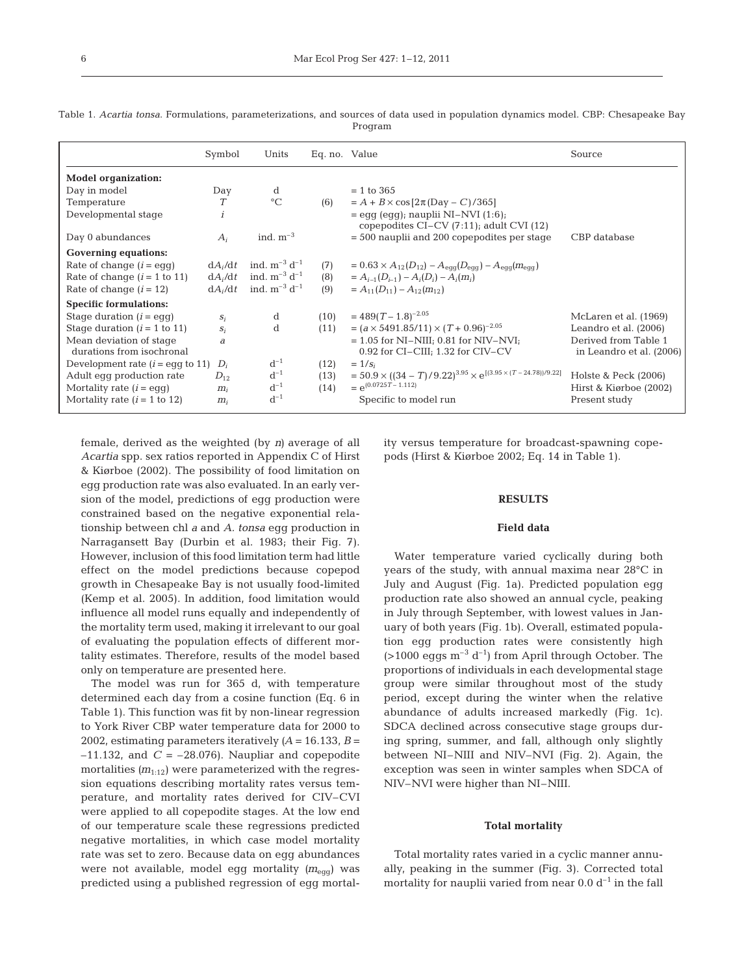|                                                      | Symbol    | Units                | Eq. no. Value |                                                                                                  | Source                                           |
|------------------------------------------------------|-----------|----------------------|---------------|--------------------------------------------------------------------------------------------------|--------------------------------------------------|
| <b>Model organization:</b>                           |           |                      |               |                                                                                                  |                                                  |
| Day in model                                         | Day       | <sub>d</sub>         |               | $= 1$ to 365                                                                                     |                                                  |
| Temperature                                          | T         | $\circ$ C            | (6)           | $= A + B \times \cos [2\pi (Day - C)/365]$                                                       |                                                  |
| Developmental stage                                  | i         |                      |               | $=$ eqq (eqq); nauplii NI-NVI (1:6);<br>copepodites $CI-CV(7:11)$ ; adult CVI $(12)$             |                                                  |
| Day 0 abundances                                     | $A_i$     | ind. $m^{-3}$        |               | $=$ 500 nauplii and 200 copepodites per stage                                                    | CBP database                                     |
| <b>Governing equations:</b>                          |           |                      |               |                                                                                                  |                                                  |
| Rate of change $(i = \text{eq}q)$                    | $dA_i/dt$ | ind. $m^{-3} d^{-1}$ | (7)           | $= 0.63 \times A_{12}(D_{12}) - A_{\text{egg}}(D_{\text{egg}}) - A_{\text{egg}}(m_{\text{egg}})$ |                                                  |
| Rate of change $(i = 1$ to 11)                       | $dA_i/dt$ | ind. $m^{-3} d^{-1}$ | (8)           | $= A_{i-1}(D_{i-1}) - A_i(D_i) - A_i(m_i)$                                                       |                                                  |
| Rate of change $(i = 12)$                            | $dA_i/dt$ | ind. $m^{-3} d^{-1}$ | (9)           | $= A_{11}(D_{11}) - A_{12}(m_{12})$                                                              |                                                  |
| <b>Specific formulations:</b>                        |           |                      |               |                                                                                                  |                                                  |
| Stage duration $(i = \text{eq}q)$                    | $S_i$     | d                    | (10)          | $= 489(T - 1.8)^{-2.05}$                                                                         | McLaren et al. (1969)                            |
| Stage duration $(i = 1$ to 11)                       | $S_i$     | <sub>d</sub>         | (11)          | = $(a \times 5491.85/11) \times (T + 0.96)^{-2.05}$                                              | Leandro et al. (2006)                            |
| Mean deviation of stage<br>durations from isochronal | a         |                      |               | $= 1.05$ for NI-NIII; 0.81 for NIV-NVI;<br>0.92 for CI-CIII; 1.32 for CIV-CV                     | Derived from Table 1<br>in Leandro et al. (2006) |
| Development rate $(i =$ egg to 11)                   | $D_i$     | $d^{-1}$             | (12)          | $= 1/s_i$                                                                                        |                                                  |
| Adult eqq production rate                            | $D_{12}$  | $d^{-1}$             | (13)          | $= 50.9 \times ((34 - T)/9.22)^{3.95} \times e^{[(3.95 \times (T - 24.78))/9.22]}$               | Holste & Peck (2006)                             |
| Mortality rate $(i = \text{eq}q)$                    | $m_i$     | $d^{-1}$             | (14)          | $= e^{(0.0725T - 1.112)}$                                                                        | Hirst & Kiørboe (2002)                           |
| Mortality rate $(i = 1$ to 12)                       | $m_i$     | $d^{-1}$             |               | Specific to model run                                                                            | Present study                                    |

Table 1. *Acartia tonsa*. Formulations, parameterizations, and sources of data used in population dynamics model. CBP: Chesapeake Bay Program

female, derived as the weighted (by *n)* average of all *Acartia* spp. sex ratios reported in Appendix C of Hirst & Kiørboe (2002). The possibility of food limitation on egg production rate was also evaluated. In an early version of the model, predictions of egg production were constrained based on the negative exponential relationship between chl *a* and *A. tonsa* egg production in Narragansett Bay (Durbin et al. 1983; their Fig. 7). However, inclusion of this food limitation term had little effect on the model predictions because copepod growth in Chesapeake Bay is not usually food-limited (Kemp et al. 2005). In addition, food limitation would influence all model runs equally and independently of the mortality term used, making it irrelevant to our goal of evaluating the population effects of different mor tality estimates. Therefore, results of the model based only on temperature are presented here.

The model was run for 365 d, with temperature determined each day from a cosine function (Eq. 6 in Table 1). This function was fit by non-linear regression to York River CBP water temperature data for 2000 to 2002, estimating parameters iteratively  $(A = 16.133, B =$  $-11.132$ , and  $C = -28.076$ ). Naupliar and copepodite mortalities  $(m_{1:12})$  were parameterized with the regression equations describing mortality rates versus temperature, and mortality rates derived for CIV–CVI were applied to all copepodite stages. At the low end of our temperature scale these regressions predicted negative mortalities, in which case model mortality rate was set to zero. Because data on egg abundances were not available, model egg mortality ( $m_{\text{eqg}}$ ) was predicted using a published regression of egg mortality versus temperature for broadcast-spawning copepods (Hirst & Kiørboe 2002; Eq. 14 in Table 1).

#### **RESULTS**

#### **Field data**

Water temperature varied cyclically during both years of the study, with annual maxima near 28°C in July and August (Fig. 1a). Predicted population egg production rate also showed an annual cycle, peaking in July through September, with lowest values in January of both years (Fig. 1b). Overall, estimated population egg production rates were consistently high  $(>1000 \text{ eggs m}^{-3} d^{-1})$  from April through October. The proportions of individuals in each developmental stage group were similar throughout most of the study period, except during the winter when the relative abundance of adults increased markedly (Fig. 1c). SDCA declined across consecutive stage groups during spring, summer, and fall, although only slightly between NI–NIII and NIV–NVI (Fig. 2). Again, the exception was seen in winter samples when SDCA of NIV–NVI were higher than NI–NIII.

#### **Total mortality**

Total mortality rates varied in a cyclic manner annually, peaking in the summer (Fig. 3). Corrected total mortality for nauplii varied from near  $0.0 d^{-1}$  in the fall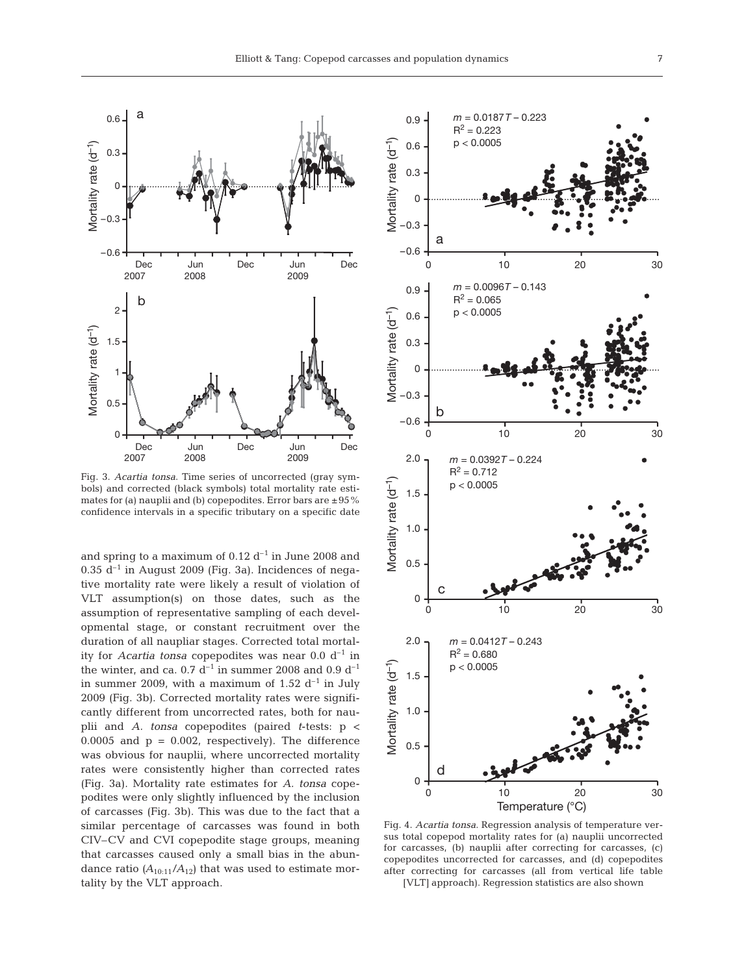

Fig. 3. *Acartia tonsa*. Time series of uncorrected (gray symbols) and corrected (black symbols) total mortality rate estimates for (a) nauplii and (b) copepodites. Error bars are  $\pm 95\%$ confidence intervals in a specific tributary on a specific date

and spring to a maximum of  $0.12 \, d^{-1}$  in June 2008 and  $0.35$  d<sup>-1</sup> in August 2009 (Fig. 3a). Incidences of negative mortality rate were likely a result of violation of VLT assumption(s) on those dates, such as the assumption of representative sampling of each developmental stage, or constant recruitment over the duration of all naupliar stages. Corrected total mortality for *Acartia tonsa* copepodites was near  $0.0 d^{-1}$  in the winter, and ca. 0.7  $d^{-1}$  in summer 2008 and 0.9  $d^{-1}$ in summer 2009, with a maximum of 1.52  $d^{-1}$  in July 2009 (Fig. 3b). Corrected mortality rates were significantly different from uncorrected rates, both for nauplii and *A. tonsa* copepodites (paired *t*-tests: p < 0.0005 and  $p = 0.002$ , respectively). The difference was obvious for nauplii, where uncorrected mortality rates were consistently higher than corrected rates (Fig. 3a). Mortality rate estimates for *A. tonsa* copepodites were only slightly influenced by the inclusion of carcasses (Fig. 3b). This was due to the fact that a similar percentage of carcasses was found in both CIV–CV and CVI copepodite stage groups, meaning that carcasses caused only a small bias in the abundance ratio  $(A_{10:11}/A_{12})$  that was used to estimate mortality by the VLT approach.



Fig. 4. *Acartia tonsa*. Regression analysis of temperature versus total copepod mortality rates for (a) nauplii uncorrected for carcasses, (b) nauplii after correcting for carcasses, (c) copepodites uncorrected for carcasses, and (d) copepodites after correcting for carcasses (all from vertical life table [VLT] approach). Regression statistics are also shown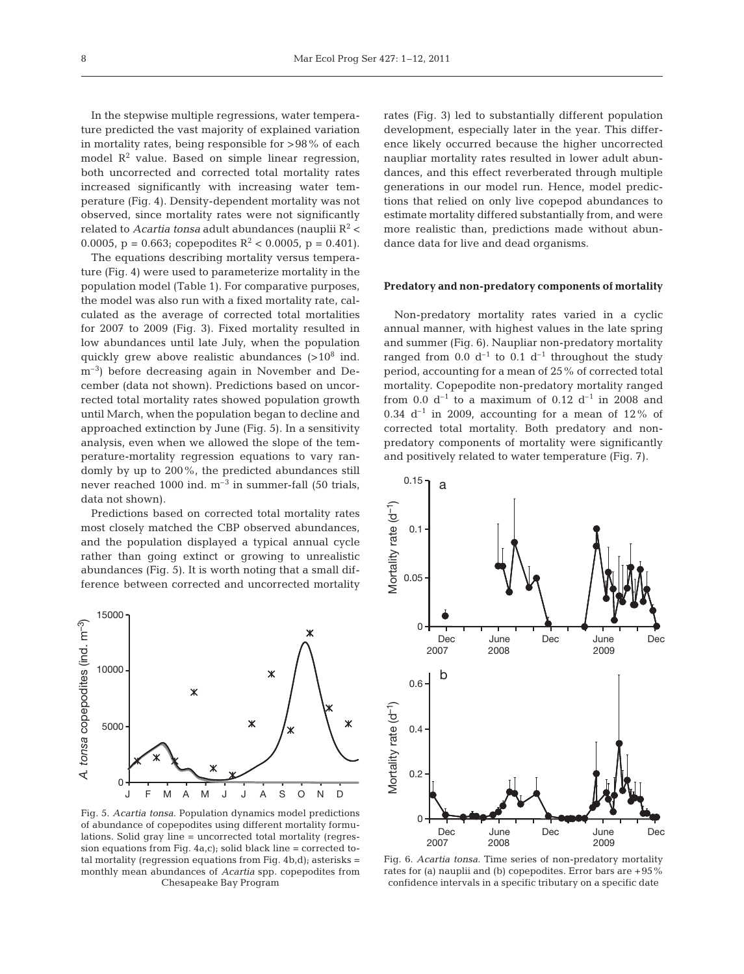In the stepwise multiple regressions, water temperature predicted the vast majority of explained variation in mortality rates, being responsible for >98% of each model  $\mathbb{R}^2$  value. Based on simple linear regression, both uncorrected and corrected total mortality rates increased significantly with increasing water temperature (Fig. 4). Density-dependent mortality was not observed, since mortality rates were not significantly related to *Acartia tonsa* adult abundances (nauplii  $R^2$  < 0.0005, p = 0.663; copepodites  $R^2$  < 0.0005, p = 0.401).

The equations describing mortality versus temperature (Fig. 4) were used to parameterize mortality in the population model (Table 1). For comparative purposes, the model was also run with a fixed mortality rate, calculated as the average of corrected total mortalities for 2007 to 2009 (Fig. 3). Fixed mortality resulted in low abundances until late July, when the population quickly grew above realistic abundances  $(>10^8$  ind. m<sup>-3</sup>) before decreasing again in November and December (data not shown). Predictions based on uncorrected total mortality rates showed population growth until March, when the population began to decline and approached extinction by June (Fig. 5). In a sensitivity analysis, even when we allowed the slope of the temperature-mortality regression equations to vary randomly by up to 200%, the predicted abundances still never reached 1000 ind.  $m^{-3}$  in summer-fall (50 trials, data not shown).

Predictions based on corrected total mortality rates most closely matched the CBP observed abundances, and the population displayed a typical annual cycle rather than going extinct or growing to unrealistic abundances (Fig. 5). It is worth noting that a small difference between corrected and uncorrected mortality



Fig. 5. *Acartia tonsa*. Population dynamics model predictions of abundance of copepodites using different mortality formulations. Solid gray line = uncorrected total mortality (regression equations from Fig.  $4a,c$ ; solid black line = corrected total mortality (regression equations from Fig. 4b,d); asterisks = monthly mean abundances of *Acartia* spp. copepodites from Chesapeake Bay Program

rates (Fig. 3) led to substantially different population development, especially later in the year. This difference likely occurred because the higher uncorrected naupliar mortality rates resulted in lower adult abundances, and this effect reverberated through multiple generations in our model run. Hence, model predictions that relied on only live copepod abundances to estimate mortality differed substantially from, and were more realistic than, predictions made without abundance data for live and dead organisms.

#### **Predatory and non-predatory components of mortality**

Non-predatory mortality rates varied in a cyclic annual manner, with highest values in the late spring and summer (Fig. 6). Naupliar non-predatory mortality ranged from 0.0  $d^{-1}$  to 0.1  $d^{-1}$  throughout the study period, accounting for a mean of 25% of corrected total mortality. Copepodite non-predatory mortality ranged from 0.0  $d^{-1}$  to a maximum of 0.12  $d^{-1}$  in 2008 and 0.34  $d^{-1}$  in 2009, accounting for a mean of 12% of corrected total mortality. Both predatory and nonpredatory components of mortality were significantly and positively related to water temperature (Fig. 7).



Fig. 6. *Acartia tonsa*. Time series of non-predatory mortality rates for (a) nauplii and (b) copepodites. Error bars are +95% confidence intervals in a specific tributary on a specific date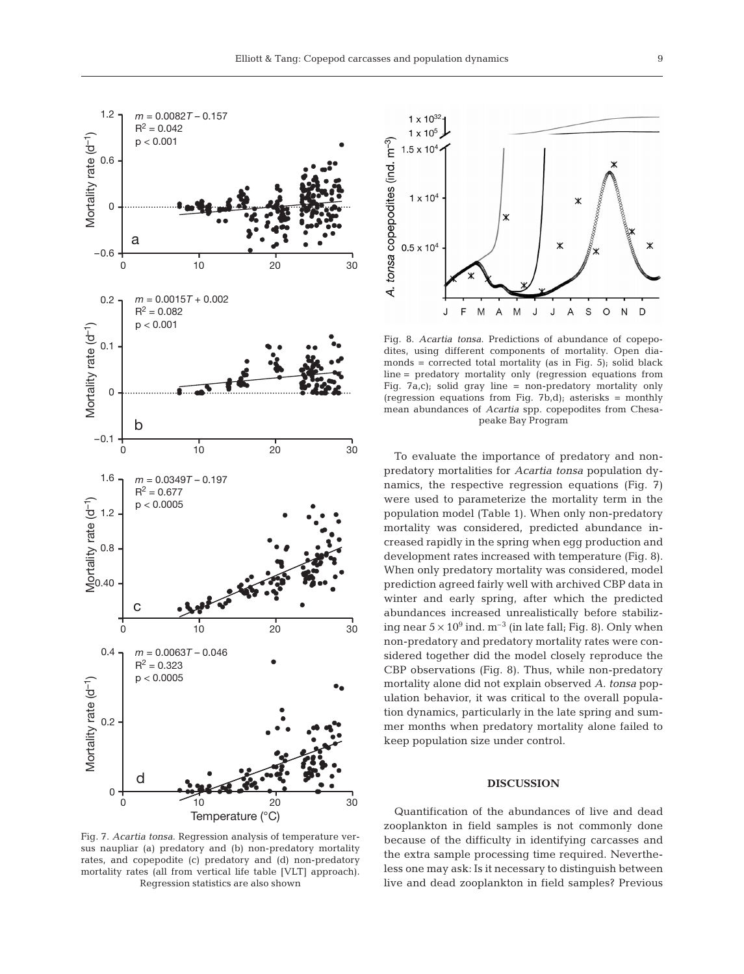

Fig. 7. *Acartia tonsa*. Regression analysis of temperature versus naupliar (a) predatory and (b) non-predatory mortality rates, and copepodite (c) predatory and (d) non-predatory mortality rates (all from vertical life table [VLT] approach). Regression statistics are also shown



Fig. 8. *Acartia tonsa*. Predictions of abundance of copepodites, using different components of mortality. Open diamonds = corrected total mortality (as in Fig.  $5$ ); solid black line = predatory mortality only (regression equations from Fig. 7a,c); solid gray line = non-predatory mortality only (regression equations from Fig. 7b,d); asterisks = monthly mean abundances of *Acartia* spp. copepodites from Chesapeake Bay Program

To evaluate the importance of predatory and nonpredatory mortalities for *Acartia tonsa* population dynamics, the respective regression equations (Fig. 7) were used to parameterize the mortality term in the population model (Table 1). When only non-predatory mortality was considered, predicted abundance increased rapidly in the spring when egg production and development rates increased with temperature (Fig. 8). When only predatory mortality was considered, model prediction agreed fairly well with archived CBP data in winter and early spring, after which the predicted abundances increased unrealistically before stabilizing near  $5 \times 10^9$  ind.  $m^{-3}$  (in late fall; Fig. 8). Only when non-predatory and predatory mortality rates were considered together did the model closely reproduce the CBP observations (Fig. 8). Thus, while non-predatory mortality alone did not explain observed *A. tonsa* population behavior, it was critical to the overall population dynamics, particularly in the late spring and summer months when predatory mortality alone failed to keep population size under control.

### **DISCUSSION**

Quantification of the abundances of live and dead zooplankton in field samples is not commonly done because of the difficulty in identifying carcasses and the extra sample processing time required. Nevertheless one may ask: Is it necessary to distinguish between live and dead zooplankton in field samples? Previous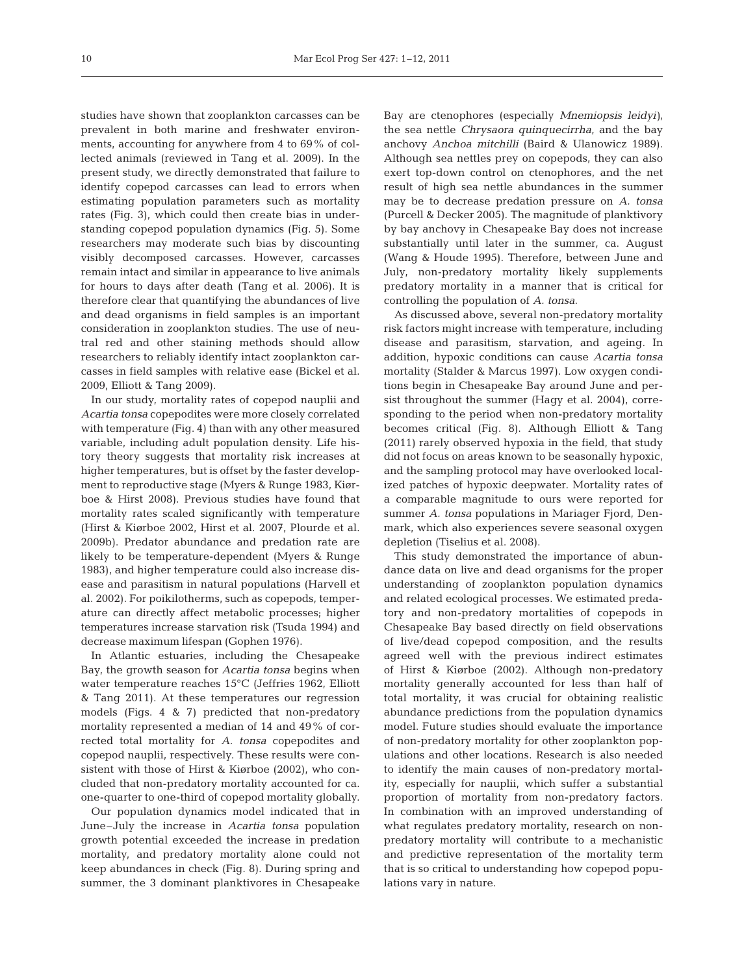studies have shown that zooplankton carcasses can be prevalent in both marine and freshwater environments, accounting for anywhere from 4 to 69% of collected animals (reviewed in Tang et al. 2009). In the present study, we directly demonstrated that failure to identify copepod carcasses can lead to errors when estimating population parameters such as mortality rates (Fig. 3), which could then create bias in understanding copepod population dynamics (Fig. 5). Some researchers may moderate such bias by discounting visibly decomposed carcasses. However, carcasses remain intact and similar in appearance to live animals for hours to days after death (Tang et al. 2006). It is therefore clear that quantifying the abundances of live and dead organisms in field samples is an important consideration in zooplankton studies. The use of neutral red and other staining methods should allow researchers to reliably identify intact zooplankton carcasses in field samples with relative ease (Bickel et al. 2009, Elliott & Tang 2009).

In our study, mortality rates of copepod nauplii and *Acartia tonsa* copepodites were more closely correlated with temperature (Fig. 4) than with any other measured variable, including adult population density. Life history theory suggests that mortality risk increases at higher temperatures, but is offset by the faster development to reproductive stage (Myers & Runge 1983, Kiørboe & Hirst 2008). Previous studies have found that mortality rates scaled significantly with temperature (Hirst & Kiørboe 2002, Hirst et al. 2007, Plourde et al. 2009b). Predator abundance and predation rate are likely to be temperature-dependent (Myers & Runge 1983), and higher temperature could also increase disease and parasitism in natural populations (Harvell et al. 2002). For poikilotherms, such as copepods, temperature can directly affect metabolic processes; higher temperatures increase starvation risk (Tsuda 1994) and decrease maximum lifespan (Gophen 1976).

In Atlantic estuaries, including the Chesapeake Bay, the growth season for *Acartia tonsa* begins when water temperature reaches 15°C (Jeffries 1962, Elliott & Tang 2011). At these temperatures our regression models (Figs. 4 & 7) predicted that non-predatory mortality represented a median of 14 and 49% of corrected total mortality for *A. tonsa* copepodites and copepod nauplii, respectively. These results were consistent with those of Hirst & Kiørboe (2002), who concluded that non-predatory mortality accounted for ca. one-quarter to one-third of copepod mortality globally.

Our population dynamics model indicated that in June–July the increase in *Acartia tonsa* population growth potential exceeded the increase in predation mortality, and predatory mortality alone could not keep abundances in check (Fig. 8). During spring and summer, the 3 dominant planktivores in Chesapeake

Bay are ctenophores (especially *Mnemiopsis leidyi)*, the sea nettle *Chrysaora quinquecirrha*, and the bay anchovy *Anchoa mitchilli* (Baird & Ulanowicz 1989). Although sea nettles prey on copepods, they can also exert top-down control on ctenophores, and the net result of high sea nettle abundances in the summer may be to decrease predation pressure on *A. tonsa* (Purcell & Decker 2005). The magnitude of planktivory by bay anchovy in Chesapeake Bay does not increase substantially until later in the summer, ca. August (Wang & Houde 1995). Therefore, between June and July, non-predatory mortality likely supplements predatory mortality in a manner that is critical for controlling the population of *A. tonsa*.

As discussed above, several non-predatory mortality risk factors might increase with temperature, including disease and parasitism, starvation, and ageing. In addition, hypoxic conditions can cause *Acartia tonsa* mortality (Stalder & Marcus 1997). Low oxygen conditions begin in Chesapeake Bay around June and persist throughout the summer (Hagy et al. 2004), corresponding to the period when non-predatory mortality becomes critical (Fig. 8). Although Elliott & Tang (2011) rarely observed hypoxia in the field, that study did not focus on areas known to be seasonally hypoxic, and the sampling protocol may have overlooked localized patches of hypoxic deepwater. Mortality rates of a comparable magnitude to ours were reported for summer *A. tonsa* populations in Mariager Fjord, Denmark, which also experiences severe seasonal oxygen depletion (Tiselius et al. 2008).

This study demonstrated the importance of abundance data on live and dead organisms for the proper understanding of zooplankton population dynamics and related ecological processes. We estimated predatory and non-predatory mortalities of copepods in Chesapeake Bay based directly on field observations of live/dead copepod composition, and the results agreed well with the previous indirect estimates of Hirst & Kiørboe (2002). Although non-predatory mortality generally accounted for less than half of total mortality, it was crucial for obtaining realistic abundance predictions from the population dynamics model. Future studies should evaluate the importance of non-predatory mortality for other zooplankton populations and other locations. Research is also needed to identify the main causes of non-predatory mortality, especially for nauplii, which suffer a substantial proportion of mortality from non-predatory factors. In combination with an improved understanding of what regulates predatory mortality, research on nonpredatory mortality will contribute to a mechanistic and predictive representation of the mortality term that is so critical to understanding how copepod populations vary in nature.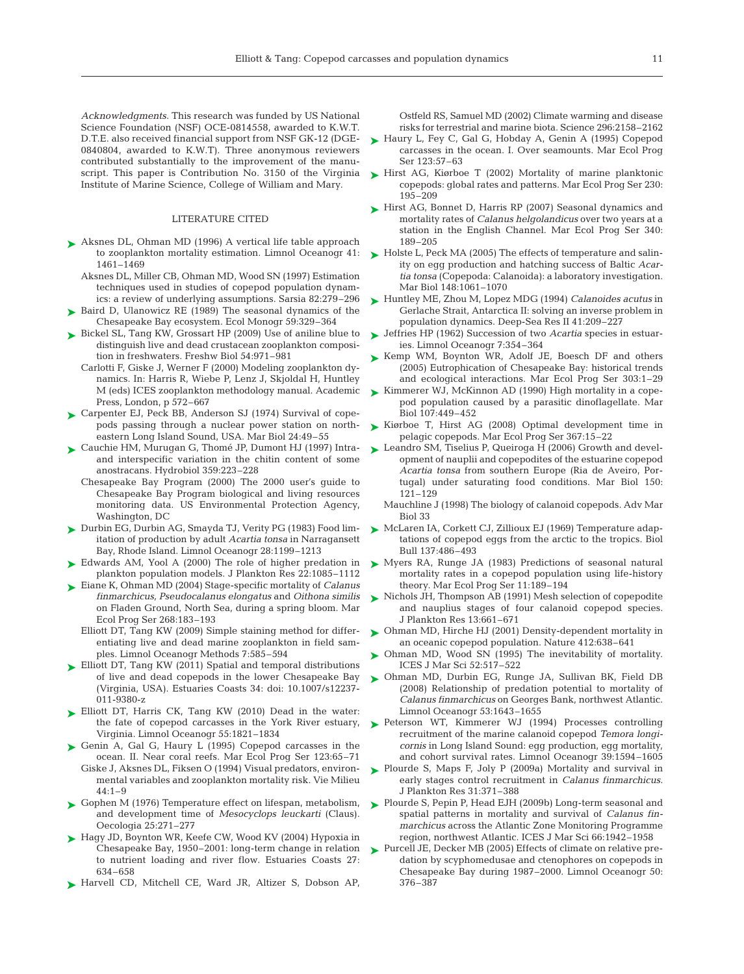Acknowledgments. This research was funded by US National Science Foundation (NSF) OCE-0814558, awarded to K.W.T. D.T.E. also received financial support from NSF GK-12 (DGE-0840804, awarded to K.W.T). Three anonymous reviewers contributed substantially to the improvement of the manuscript. This paper is Contribution No. 3150 of the Virginia Institute of Marine Science, College of William and Mary.

#### LITERATURE CITED

- ► Aksnes DL, Ohman MD (1996) A vertical life table approach to zooplankton mortality estimation. Limnol Oceanogr 41: 1461–1469
	- Aksnes DL, Miller CB, Ohman MD, Wood SN (1997) Estimation techniques used in studies of copepod population dynamics: a review of underlying assumptions. Sarsia 82:279–296
- ► Baird D, Ulanowicz RE (1989) The seasonal dynamics of the Chesapeake Bay ecosystem. Ecol Monogr 59:329–364
- ► Bickel SL, Tang KW, Grossart HP (2009) Use of aniline blue to distinguish live and dead crustacean zooplankton composition in freshwaters. Freshw Biol 54:971–981
	- Carlotti F, Giske J, Werner F (2000) Modeling zooplankton dy namics. In: Harris R, Wiebe P, Lenz J, Skjoldal H, Huntley M (eds) ICES zooplankton methodology manual. Academic Press, London, p 572–667
- ► Carpenter EJ, Peck BB, Anderson SJ (1974) Survival of copepods passing through a nuclear power station on northeastern Long Island Sound, USA. Mar Biol 24:49–55
- ► Cauchie HM, Murugan G, Thomé JP, Dumont HJ (1997) Intraand interspecific variation in the chitin content of some anostracans. Hydrobiol 359:223–228
	- Chesapeake Bay Program (2000) The 2000 user's guide to Chesapeake Bay Program biological and living resources monitoring data. US Environmental Protection Agency, Washington, DC
- ► Durbin EG, Durbin AG, Smayda TJ, Verity PG (1983) Food limitation of production by adult *Acartia tonsa* in Narragansett Bay, Rhode Island. Limnol Oceanogr 28: 1199–1213
- ► Edwards AM, Yool A (2000) The role of higher predation in plankton population models. J Plankton Res 22:1085–1112
- ► Eiane K, Ohman MD (2004) Stage-specific mortality of *Calanus finmarchicus, Pseudocalanus elongatus* and *Oithona similis* on Fladen Ground, North Sea, during a spring bloom. Mar Ecol Prog Ser 268:183–193
	- Elliott DT, Tang KW (2009) Simple staining method for differentiating live and dead marine zooplankton in field samples. Limnol Oceanogr Methods 7:585–594
- ► Elliott DT, Tang KW (2011) Spatial and temporal distributions of live and dead copepods in the lower Chesapeake Bay (Virginia, USA). Estuaries Coasts 34: doi: 10.1007/s12237- 011-9380-z
- ► Elliott DT, Harris CK, Tang KW (2010) Dead in the water: the fate of copepod carcasses in the York River estuary, Virginia. Limnol Oceanogr 55:1821–1834
- ► Genin A, Gal G, Haury L (1995) Copepod carcasses in the ocean. II. Near coral reefs. Mar Ecol Prog Ser 123:65–71 Giske J, Aksnes DL, Fiksen O (1994) Visual predators, environmental variables and zooplankton mortality risk. Vie Milieu  $44:1-9$
- ► Gophen M (1976) Temperature effect on lifespan, metabolism, and development time of *Mesocyclops leuckarti* (Claus). Oecologia 25:271–277
- ► Hagy JD, Boynton WR, Keefe CW, Wood KV (2004) Hypoxia in Chesapeake Bay, 1950–2001: long-term change in relation to nutrient loading and river flow. Estuaries Coasts 27: 634–658
- ▶ Harvell CD, Mitchell CE, Ward JR, Altizer S, Dobson AP,

Ostfeld RS, Samuel MD (2002) Climate warming and disease risks for terrestrial and marine biota. Science 296:2158–2162

- ► Haury L, Fey C, Gal G, Hobday A, Genin A (1995) Copepod carcasses in the ocean. I. Over seamounts. Mar Ecol Prog Ser 123:57–63
- ► Hirst AG, Kiørboe T (2002) Mortality of marine planktonic copepods: global rates and patterns. Mar Ecol Prog Ser 230: 195–209
- ► Hirst AG, Bonnet D, Harris RP (2007) Seasonal dynamics and mortality rates of *Calanus helgolandicus* over two years at a station in the English Channel. Mar Ecol Prog Ser 340: 189–205
- ► Holste L, Peck MA (2005) The effects of temperature and salinity on egg production and hatching success of Baltic *Acartia tonsa* (Copepoda: Calanoida): a laboratory investigation. Mar Biol 148:1061–1070
- Huntley ME, Zhou M, Lopez MDG (1994) *Calanoides acutus* in ➤ Gerlache Strait, Antarctica II: solving an inverse problem in population dynamics. Deep-Sea Res II 41:209–227
- **►** Jeffries HP (1962) Succession of two *Acartia* species in estuaries. Limnol Oceanogr 7:354–364
- ► Kemp WM, Boynton WR, Adolf JE, Boesch DF and others (2005) Eutrophication of Chesapeake Bay: historical trends and ecological interactions. Mar Ecol Prog Ser 303:1-29
- ► Kimmerer WJ, McKinnon AD (1990) High mortality in a copepod population caused by a parasitic dinoflagellate. Mar Biol 107:449–452
- ► Kiørboe T, Hirst AG (2008) Optimal development time in pelagic copepods. Mar Ecol Prog Ser 367:15–22
- ► Leandro SM, Tiselius P, Queiroga H (2006) Growth and development of nauplii and copepodites of the estuarine copepod *Acartia tonsa* from southern Europe (Ria de Aveiro, Por tugal) under saturating food conditions. Mar Biol 150: 121–129
	- Mauchline J (1998) The biology of calanoid copepods. Adv Mar Biol 33
- ► McLaren IA, Corkett CJ, Zillioux EJ (1969) Temperature adaptations of copepod eggs from the arctic to the tropics. Biol Bull 137:486–493
- ► Myers RA, Runge JA (1983) Predictions of seasonal natural mortality rates in a copepod population using life-history theory. Mar Ecol Prog Ser 11:189–194
- ► Nichols JH, Thompson AB (1991) Mesh selection of copepodite and nauplius stages of four calanoid copepod species. J Plankton Res 13:661–671
- Ohman MD, Hirche HJ (2001) Density-dependent mortality in ➤ an oceanic copepod population. Nature 412:638–641
- Ohman MD, Wood SN (1995) The inevitability of mortality. ➤ ICES J Mar Sci 52:517–522
- Ohman MD, Durbin EG, Runge JA, Sullivan BK, Field DB ➤ (2008) Relationship of predation potential to mortality of *Calanus finmarchicus* on Georges Bank, northwest Atlantic. Limnol Oceanogr 53:1643–1655
- ▶ Peterson WT, Kimmerer WJ (1994) Processes controlling recruitment of the marine calanoid copepod *Temora longicornis* in Long Island Sound: egg production, egg mortality, and cohort survival rates. Limnol Oceanogr 39:1594–1605
- ► Plourde S, Maps F, Joly P (2009a) Mortality and survival in early stages control recruitment in *Calanus finmarchicus.* J Plankton Res 31:371–388
- ► Plourde S, Pepin P, Head EJH (2009b) Long-term seasonal and spatial patterns in mortality and survival of *Calanus finmarchicus* across the Atlantic Zone Monitoring Programme region, northwest Atlantic. ICES J Mar Sci 66:1942-1958
- ► Purcell JE, Decker MB (2005) Effects of climate on relative predation by scyphomedusae and ctenophores on copepods in Chesapeake Bay during 1987–2000. Limnol Oceanogr 50: 376–387